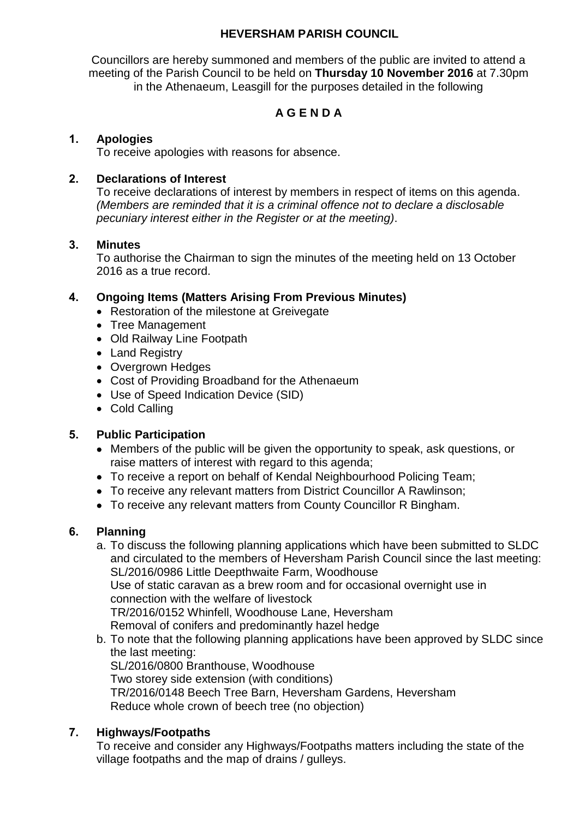#### **HEVERSHAM PARISH COUNCIL**

Councillors are hereby summoned and members of the public are invited to attend a meeting of the Parish Council to be held on **Thursday 10 November 2016** at 7.30pm in the Athenaeum, Leasgill for the purposes detailed in the following

## **A G E N D A**

#### **1. Apologies**

To receive apologies with reasons for absence.

#### **2. Declarations of Interest**

To receive declarations of interest by members in respect of items on this agenda. *(Members are reminded that it is a criminal offence not to declare a disclosable pecuniary interest either in the Register or at the meeting)*.

#### **3. Minutes**

To authorise the Chairman to sign the minutes of the meeting held on 13 October 2016 as a true record.

#### **4. Ongoing Items (Matters Arising From Previous Minutes)**

- Restoration of the milestone at Greivegate
- Tree Management
- Old Railway Line Footpath
- Land Registry
- Overgrown Hedges
- Cost of Providing Broadband for the Athenaeum
- Use of Speed Indication Device (SID)
- Cold Calling

#### **5. Public Participation**

- Members of the public will be given the opportunity to speak, ask questions, or raise matters of interest with regard to this agenda;
- To receive a report on behalf of Kendal Neighbourhood Policing Team;
- To receive any relevant matters from District Councillor A Rawlinson;
- To receive any relevant matters from County Councillor R Bingham.

#### **6. Planning**

- a. To discuss the following planning applications which have been submitted to SLDC and circulated to the members of Heversham Parish Council since the last meeting: SL/2016/0986 Little Deepthwaite Farm, Woodhouse Use of static caravan as a brew room and for occasional overnight use in connection with the welfare of livestock TR/2016/0152 Whinfell, Woodhouse Lane, Heversham Removal of conifers and predominantly hazel hedge
- b. To note that the following planning applications have been approved by SLDC since the last meeting: SL/2016/0800 Branthouse, Woodhouse Two storey side extension (with conditions) TR/2016/0148 Beech Tree Barn, Heversham Gardens, Heversham Reduce whole crown of beech tree (no objection)

#### **7. Highways/Footpaths**

To receive and consider any Highways/Footpaths matters including the state of the village footpaths and the map of drains / gulleys.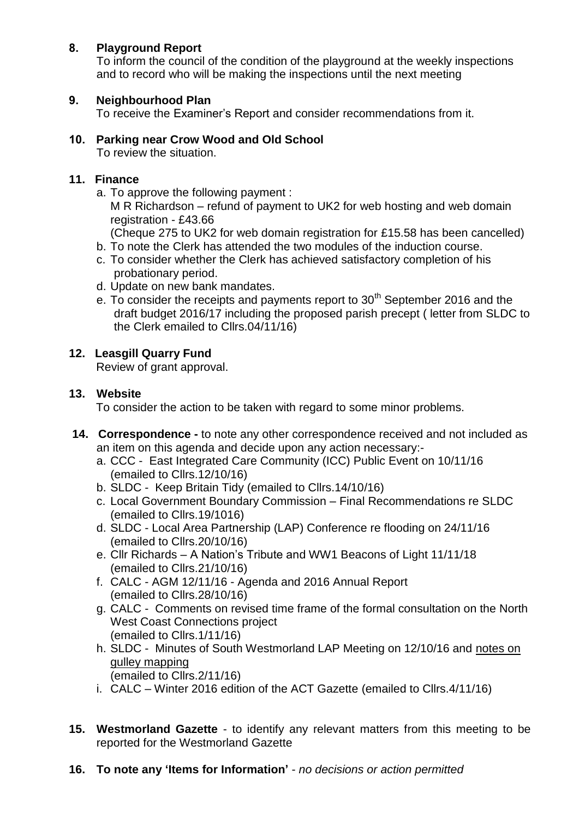## **8. Playground Report**

To inform the council of the condition of the playground at the weekly inspections and to record who will be making the inspections until the next meeting

### **9. Neighbourhood Plan**

To receive the Examiner's Report and consider recommendations from it.

# **10. Parking near Crow Wood and Old School**

To review the situation.

### **11. Finance**

- a. To approve the following payment : M R Richardson – refund of payment to UK2 for web hosting and web domain registration - £43.66 (Cheque 275 to UK2 for web domain registration for £15.58 has been cancelled)
- b. To note the Clerk has attended the two modules of the induction course.
- c. To consider whether the Clerk has achieved satisfactory completion of his probationary period.
- d. Update on new bank mandates.
- e. To consider the receipts and payments report to 30<sup>th</sup> September 2016 and the draft budget 2016/17 including the proposed parish precept ( letter from SLDC to the Clerk emailed to Cllrs.04/11/16)

## **12. Leasgill Quarry Fund**

Review of grant approval.

#### **13. Website**

To consider the action to be taken with regard to some minor problems.

- **14. Correspondence -** to note any other correspondence received and not included as an item on this agenda and decide upon any action necessary:
	- a. CCC East Integrated Care Community (ICC) Public Event on 10/11/16 (emailed to Cllrs.12/10/16)
	- b. SLDC Keep Britain Tidy (emailed to Cllrs.14/10/16)
	- c. Local Government Boundary Commission Final Recommendations re SLDC (emailed to Cllrs.19/1016)
	- d. SLDC Local Area Partnership (LAP) Conference re flooding on 24/11/16 (emailed to Cllrs.20/10/16)
	- e. Cllr Richards A Nation's Tribute and WW1 Beacons of Light 11/11/18 (emailed to Cllrs.21/10/16)
	- f. CALC AGM 12/11/16 Agenda and 2016 Annual Report (emailed to Cllrs.28/10/16)
	- g. CALC Comments on revised time frame of the formal consultation on the North West Coast Connections project (emailed to Cllrs.1/11/16)
	- h. SLDC Minutes of South Westmorland LAP Meeting on 12/10/16 and notes on gulley mapping (emailed to Cllrs.2/11/16)
	- i. CALC Winter 2016 edition of the ACT Gazette (emailed to Cllrs.4/11/16)
- **15. Westmorland Gazette**  to identify any relevant matters from this meeting to be reported for the Westmorland Gazette
- **16. To note any 'Items for Information'** *no decisions or action permitted*